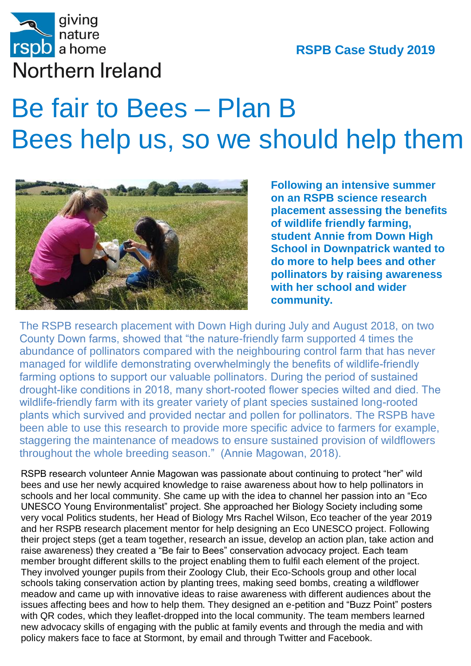

## Bees help us, so we should help them Be fair to Bees – Plan B



**Following an intensive summer on an RSPB science research placement assessing the benefits of wildlife friendly farming, student Annie from Down High School in Downpatrick wanted to do more to help bees and other pollinators by raising awareness with her school and wider community.**

The RSPB research placement with Down High during July and August 2018, on two County Down farms, showed that "the nature-friendly farm supported 4 times the abundance of pollinators compared with the neighbouring control farm that has never managed for wildlife demonstrating overwhelmingly the benefits of wildlife-friendly farming options to support our valuable pollinators. During the period of sustained drought-like conditions in 2018, many short-rooted flower species wilted and died. The wildlife-friendly farm with its greater variety of plant species sustained long-rooted plants which survived and provided nectar and pollen for pollinators. The RSPB have been able to use this research to provide more specific advice to farmers for example, staggering the maintenance of meadows to ensure sustained provision of wildflowers throughout the whole breeding season." (Annie Magowan, 2018).

raise awareness) they created a "Be fair to Bees" conservation advocacy project. Each team RSPB research volunteer Annie Magowan was passionate about continuing to protect "her" wild bees and use her newly acquired knowledge to raise awareness about how to help pollinators in schools and her local community. She came up with the idea to channel her passion into an "Eco UNESCO Young Environmentalist" project. She approached her Biology Society including some very vocal Politics students, her Head of Biology Mrs Rachel Wilson, Eco teacher of the year 2019 and her RSPB research placement mentor for help designing an Eco UNESCO project. Following their project steps (get a team together, research an issue, develop an action plan, take action and member brought different skills to the project enabling them to fulfil each element of the project. They involved younger pupils from their Zoology Club, their Eco-Schools group and other local schools taking conservation action by planting trees, making seed bombs, creating a wildflower meadow and came up with innovative ideas to raise awareness with different audiences about the issues affecting bees and how to help them. They designed an e-petition and "Buzz Point" posters with QR codes, which they leaflet-dropped into the local community. The team members learned new advocacy skills of engaging with the public at family events and through the media and with policy makers face to face at Stormont, by email and through Twitter and Facebook.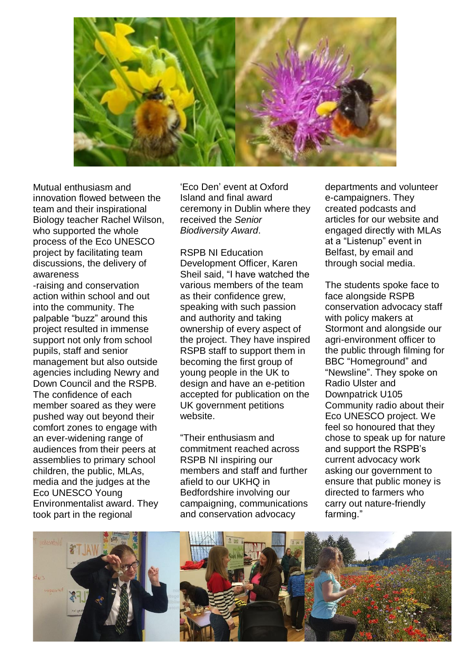

Mutual enthusiasm and innovation flowed between the team and their inspirational Biology teacher Rachel Wilson, who supported the whole process of the Eco UNESCO project by facilitating team discussions, the delivery of awareness

-raising and conservation action within school and out into the community. The palpable "buzz" around this project resulted in immense support not only from school pupils, staff and senior management but also outside agencies including Newry and Down Council and the RSPB. The confidence of each member soared as they were pushed way out beyond their comfort zones to engage with an ever-widening range of audiences from their peers at assemblies to primary school children, the public, MLAs, media and the judges at the Eco UNESCO Young Environmentalist award. They took part in the regional

'Eco Den' event at Oxford Island and final award ceremony in Dublin where they received the *Senior Biodiversity Award*.

RSPB NI Education Development Officer, Karen Sheil said, "I have watched the various members of the team as their confidence grew, speaking with such passion and authority and taking ownership of every aspect of the project. They have inspired RSPB staff to support them in becoming the first group of young people in the UK to design and have an e-petition accepted for publication on the UK government petitions website.

"Their enthusiasm and commitment reached across RSPB NI inspiring our members and staff and further afield to our UKHQ in Bedfordshire involving our campaigning, communications and conservation advocacy

departments and volunteer e-campaigners. They created podcasts and articles for our website and engaged directly with MLAs at a "Listenup" event in Belfast, by email and through social media.

The students spoke face to face alongside RSPB conservation advocacy staff with policy makers at Stormont and alongside our agri-environment officer to the public through filming for BBC "Homeground" and "Newsline". They spoke on Radio Ulster and Downpatrick U105 Community radio about their Eco UNESCO project. We feel so honoured that they chose to speak up for nature and support the RSPB's current advocacy work asking our government to ensure that public money is directed to farmers who carry out nature-friendly farming."